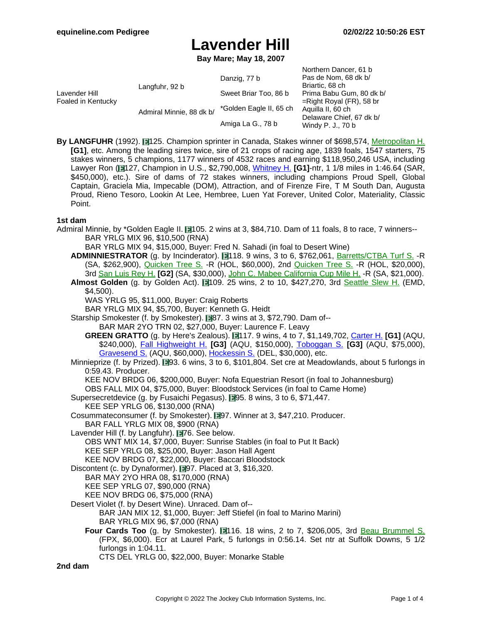**Bay Mare; May 18, 2007**

| Lavender Hill<br>Foaled in Kentucky | Langfuhr, 92 b           | Danzig, 77 b            | Northern Dancer, 61 b<br>Pas de Nom, 68 dk b/<br>Briartic, 68 ch |
|-------------------------------------|--------------------------|-------------------------|------------------------------------------------------------------|
|                                     |                          | Sweet Briar Too, 86 b   | Prima Babu Gum, 80 dk b/                                         |
|                                     | Admiral Minnie, 88 dk b/ |                         | $=$ Right Royal (FR), 58 br                                      |
|                                     |                          | *Golden Eagle II, 65 ch | Aquilla II, 60 ch                                                |
|                                     |                          | Amiga La G., 78 b       | Delaware Chief, 67 dk b/<br>Windy P. J., 70 b                    |

**By LANGFUHR** (1992). 125. Champion sprinter in Canada, Stakes winner of \$698,574, [Metropolitan](https://www.equineline.com/dotVideoChart.cfm?track=BEL&country=USA&race_date=1997-05-26&refno=1354584®istry=T&race_name=Metropolitan+H.&race_number=9&day_evening=D&product_reference_number=40PA) H. **[G1]**, etc. Among the leading sires twice, sire of 21 crops of racing age, 1839 foals, 1547 starters, 75 stakes winners, 5 champions, 1177 winners of 4532 races and earning \$118,950,246 USA, including Lawyer Ron ( 127, Champion in U.S., \$2,790,008, [Whitney](https://www.equineline.com/dotVideoChart.cfm?track=SAR&country=USA&race_date=2007-07-28&raceid=mp4:2007/300/200707281745STD10_300.f4v&refno=6804207®istry=T&race_name=Whitney+H.&race_number=10&day_evening=D&product_reference_number=40PA) H. **[G1]**-ntr, 1 1/8 miles in 1:46.64 (SAR, \$450,000), etc.). Sire of dams of 72 stakes winners, including champions Proud Spell, Global Captain, Graciela Mia, Impecable (DOM), Attraction, and of Firenze Fire, T M South Dan, Augusta Proud, Rieno Tesoro, Lookin At Lee, Hembree, Luen Yat Forever, United Color, Materiality, Classic Point.

#### **1st dam**

- Admiral Minnie, by \*Golden Eagle II. 105. 2 wins at 3, \$84,710. Dam of 11 foals, 8 to race, 7 winners--BAR YRLG MIX 96, \$10,500 (RNA)
	- BAR YRLG MIX 94, \$15,000, Buyer: Fred N. Sahadi (in foal to Desert Wine)
	- ADMINNIESTRATOR (g. by Incinderator). 118. 9 wins, 3 to 6, \$762,061, **[Barretts/CTBA](https://www.equineline.com/dotVideoChart.cfm?track=SA+&country=USA&race_date=2003-01-25&refno=4346284®istry=T&race_name=Barretts/CTBA+Turf+S.&race_number=2&day_evening=D&product_reference_number=40PA) Turf S.** -R (SA, \$262,900), [Quicken](https://www.equineline.com/dotVideoChart.cfm?track=HOL&country=USA&race_date=2002-04-28&refno=4346284®istry=T&race_name=Quicken+Tree+S.&race_number=1&day_evening=D&product_reference_number=40PA) Tree S. -R (HOL, \$60,000), 2nd Q[uicken](https://www.equineline.com/dotVideoChart.cfm?track=HOL&country=USA&race_date=2001-04-28&refno=4346284®istry=T&race_name=Quicken+Tree+S.&race_number=8&day_evening=D&product_reference_number=40PA) Tree S. -R (HOL, \$20,000), 3rd San [Luis](https://www.equineline.com/dotVideoChart.cfm?track=SA+&country=USA&race_date=2003-03-15&refno=4346284®istry=T&race_name=San+Luis+Rey+H.&race_number=7&day_evening=D&product_reference_number=40PA) Rey H. **[G2]** (SA, \$30,000), John C. Mabee [California](https://www.equineline.com/dotVideoChart.cfm?track=SA+&country=USA&race_date=2002-11-02&refno=4346284®istry=T&race_name=John+C.+Mabee+California+Cup+Mile+H.&race_number=9&day_evening=D&product_reference_number=40PA) Cup Mile H. -R (SA, \$21,000).
	- **Almost Golden** (g. by Golden Act). 109. 25 wins, 2 to 10, \$427,270, 3rd Seattle [Slew](https://www.equineline.com/dotVideoChart.cfm?track=EMD&country=USA&race_date=1997-05-17&refno=1432369®istry=T&race_name=Seattle+Slew+H.&race_number=9&day_evening=D&product_reference_number=40PA) H. (EMD, \$4,500).
		- WAS YRLG 95, \$11,000, Buyer: Craig Roberts
		- BAR YRLG MIX 94, \$5,700, Buyer: Kenneth G. Heidt
	- Starship Smokester (f. by Smokester). 1987. 3 wins at 3, \$72,790. Dam of--BAR MAR 2YO TRN 02, \$27,000, Buyer: Laurence F. Leavy
		- **GREEN GRATTO** (g. by Here's Zealous). 117. 9 wins, 4 to 7, \$1,149,702, [Carter](https://www.equineline.com/dotVideoChart.cfm?track=AQU&country=USA&race_date=2017-04-08&raceid=mp4:2017/1308/201704081714AQD9_1308.mp4&refno=8903836®istry=T&race_name=Carter+H.&race_number=9&day_evening=D&product_reference_number=40PA) H. **[G1]** (AQU, \$240,000), Fall [Highweight](https://www.equineline.com/dotVideoChart.cfm?track=AQU&country=USA&race_date=2015-11-26&raceid=mp4:2015/1308/201511261519AQD8_1308.f4v&refno=8903836®istry=T&race_name=Fall+Highweight+H.&race_number=8&day_evening=D&product_reference_number=40PA) H. **[G3]** (AQU, \$150,000), To[boggan](https://www.equineline.com/dotVideoChart.cfm?track=AQU&country=USA&race_date=2017-01-16&raceid=mp4:2017/1308/201701161422AQD5_1308.mp4&refno=8903836®istry=T&race_name=Toboggan+S.&race_number=5&day_evening=D&product_reference_number=40PA) S. **[G3]** (AQU, \$75,000), [Gravesend](https://www.equineline.com/dotVideoChart.cfm?track=AQU&country=USA&race_date=2015-12-26&raceid=mp4:2015/1308/201512261555AQD8_1308.f4v&refno=8903836®istry=T&race_name=Gravesend+S.&race_number=8&day_evening=D&product_reference_number=40PA) S. (AQU, \$60,000), [Hockessin](https://www.equineline.com/dotVideoChart.cfm?track=DEL&country=USA&race_date=2016-07-16&raceid=mp4:2016/1308/201607161614DLD7_1308.mp4&refno=8903836®istry=T&race_name=Hockessin+S.&race_number=7&day_evening=D&product_reference_number=40PA) S. (DEL, \$30,000), etc.
	- Minnieprize (f. by Prized). 193. 6 wins, 3 to 6, \$101,804. Set cre at Meadowlands, about 5 furlongs in 0:59.43. Producer.
		- KEE NOV BRDG 06, \$200,000, Buyer: Nofa Equestrian Resort (in foal to Johannesburg)
		- OBS FALL MIX 04, \$75,000, Buyer: Bloodstock Services (in foal to Came Home)
	- Supersecretdevice (g. by Fusaichi Pegasus). 195. 8 wins, 3 to 6, \$71,447.
		- KEE SEP YRLG 06, \$130,000 (RNA)
	- Cosummateconsumer (f. by Smokester). 197. Winner at 3, \$47,210. Producer. BAR FALL YRLG MIX 08, \$900 (RNA)
	- Lavender Hill (f. by Langfuhr). 176. See below. OBS WNT MIX 14, \$7,000, Buyer: Sunrise Stables (in foal to Put It Back) KEE SEP YRLG 08, \$25,000, Buyer: Jason Hall Agent
		-
		- KEE NOV BRDG 07, \$22,000, Buyer: Baccari Bloodstock
	- Discontent (c. by Dynaformer). 197. Placed at 3, \$16,320.
		- BAR MAY 2YO HRA 08, \$170,000 (RNA)
		- KEE SEP YRLG 07, \$90,000 (RNA)
		- KEE NOV BRDG 06, \$75,000 (RNA)
	- Desert Violet (f. by Desert Wine). Unraced. Dam of--
		- BAR JAN MIX 12, \$1,000, Buyer: Jeff Stiefel (in foal to Marino Marini) BAR YRLG MIX 96, \$7,000 (RNA)
		- **Four Cards Too** (g. by Smokester). **116.** 18 wins, 2 to 7, \$206,005, 3rd **Beau [Brummel](https://www.equineline.com/dotVideoChart.cfm?track=FPX&country=USA&race_date=2001-09-14&refno=5093103®istry=T&race_name=Beau+Brummel+S.&race_number=7&day_evening=D&product_reference_number=40PA) S.** (FPX, \$6,000). Ecr at Laurel Park, 5 furlongs in 0:56.14. Set ntr at Suffolk Downs, 5 1/2 furlongs in 1:04.11. CTS DEL YRLG 00, \$22,000, Buyer: Monarke Stable
- **2nd dam**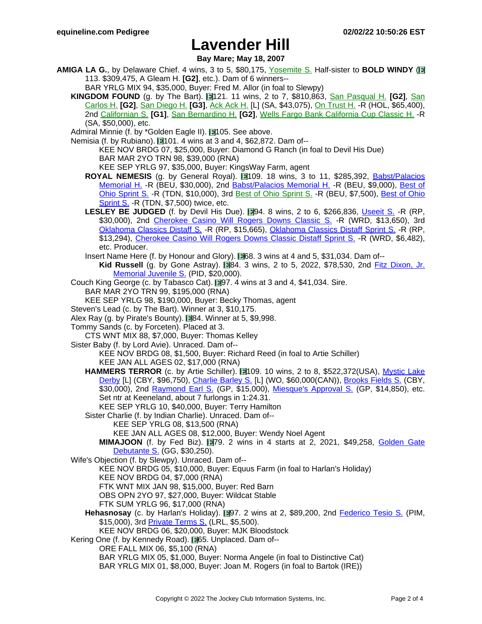**Bay Mare; May 18, 2007**

- **AMIGA LA G.**, by Delaware Chief. 4 wins, 3 to 5, \$80,175, Y[osemite](https://www.equineline.com/dotVideoChart.cfm?track=FNO&country=USA&race_date=1983-05-16&refno=726210®istry=T&race_name=Yosemite+S.&race_number=10&day_evening=D&product_reference_number=40PA) S. Half-sister to **BOLD WINDY** ( 113. \$309,475, A Gleam H. **[G2]**, etc.). Dam of 6 winners--
	- BAR YRLG MIX 94, \$35,000, Buyer: Fred M. Allor (in foal to Slewpy)
	- **KINGDOM FOUND** (g. by The Bart). **11** mins, 2 to 7, \$810,863, San [Pasqual](https://www.equineline.com/dotVideoChart.cfm?track=SA+&country=USA&race_date=1997-01-12&refno=1283487®istry=T&race_name=San+Pasqual+H.&race_number=6&day_evening=D&product_reference_number=40PA) H. **[G2]**, San [Carlos](https://www.equineline.com/dotVideoChart.cfm?track=SA+&country=USA&race_date=1996-03-02&refno=1283487®istry=T&race_name=San+Carlos+H.&race_number=9&day_evening=D&product_reference_number=40PA) H. **[G2]**, San [Diego](https://www.equineline.com/dotVideoChart.cfm?track=DMR&country=USA&race_date=1994-07-30&refno=1283487®istry=T&race_name=San+Diego+H.&race_number=8&day_evening=D&product_reference_number=40PA) H. **[G3]**, Ack [Ack](https://www.equineline.com/dotVideoChart.cfm?track=SA+&country=USA&race_date=1995-12-31&refno=1283487®istry=T&race_name=Ack+Ack+H.&race_number=7&day_evening=D&product_reference_number=40PA) H. [L] (SA, \$43,075), On [Trust](https://www.equineline.com/dotVideoChart.cfm?track=HOL&country=USA&race_date=1996-11-24&refno=1283487®istry=T&race_name=On+Trust+H.&race_number=8&day_evening=D&product_reference_number=40PA) H. -R (HOL, \$65,400), 2nd [Californian](https://www.equineline.com/dotVideoChart.cfm?track=HOL&country=USA&race_date=1994-06-05&refno=1283487®istry=T&race_name=Californian+S.&race_number=8&day_evening=D&product_reference_number=40PA) S. **[G1]**, San [Bernardino](https://www.equineline.com/dotVideoChart.cfm?track=SA+&country=USA&race_date=1997-04-06&refno=1283487®istry=T&race_name=San+Bernardino+H.&race_number=7&day_evening=D&product_reference_number=40PA) H. **[G2]**, Wells Fargo Bank [California](https://www.equineline.com/dotVideoChart.cfm?track=SA+&country=USA&race_date=1994-10-29&refno=1283487®istry=T&race_name=Wells+Fargo+Bank+California+Cup+Classic+H.&race_number=8&day_evening=D&product_reference_number=40PA) Cup Classic H. -R (SA, \$50,000), etc.
	- Admiral Minnie (f. by \*Golden Eagle II). 105. See above.

Nemisia (f. by Rubiano). 1101. 4 wins at 3 and 4, \$62,872. Dam of--KEE NOV BRDG 07, \$25,000, Buyer: Diamond G Ranch (in foal to Devil His Due)

BAR MAR 2YO TRN 98, \$39,000 (RNA)

KEE SEP YRLG 97, \$35,000, Buyer: KingsWay Farm, agent

- **ROYAL NEMESIS** (g. by General Royal). 1109. 18 wins, 3 to 11, \$285,392, Babst/[Palacios](https://www.equineline.com/dotVideoChart.cfm?track=BEU&country=USA&race_date=2010-05-01&raceid=mp4:2010/1308/201005011700BXM8_1308.f4v&refno=7121093®istry=T&race_name=Babst/Palacios+Memorial+H.&race_number=8&day_evening=D&product_reference_number=40PA) [Memorial](https://www.equineline.com/dotVideoChart.cfm?track=BEU&country=USA&race_date=2010-05-01&raceid=mp4:2010/1308/201005011700BXM8_1308.f4v&refno=7121093®istry=T&race_name=Babst/Palacios+Memorial+H.&race_number=8&day_evening=D&product_reference_number=40PA) H. -R (BEU, \$30,000), 2nd [Babst/Palacios](https://www.equineline.com/dotVideoChart.cfm?track=BEU&country=USA&race_date=2009-05-02&raceid=mp4:2009/1308/200905021733BXM10_1308.f4v&refno=7121093®istry=T&race_name=Babst/Palacios+Memorial+H.&race_number=10&day_evening=D&product_reference_number=40PA) Memorial H. -R (BEU, \$9,000), B[est](https://www.equineline.com/dotVideoChart.cfm?track=TDN&country=USA&race_date=2012-10-12&raceid=mp4:2012/1308/201210121555TDM5_1308.f4v&refno=7121093®istry=T&race_name=Best+of+Ohio+Sprint+S.&race_number=5&day_evening=D&product_reference_number=40PA) of Ohio [Sprint](https://www.equineline.com/dotVideoChart.cfm?track=TDN&country=USA&race_date=2012-10-12&raceid=mp4:2012/1308/201210121555TDM5_1308.f4v&refno=7121093®istry=T&race_name=Best+of+Ohio+Sprint+S.&race_number=5&day_evening=D&product_reference_number=40PA) S. -R (TDN, \$10,000), 3rd Best of Ohio [Sprint](https://www.equineline.com/dotVideoChart.cfm?track=BEU&country=USA&race_date=2007-10-06&refno=7121093®istry=T&race_name=Best+of+Ohio+Sprint+S.&race_number=10&day_evening=D&product_reference_number=40PA) S. -R (BEU, \$7,500), Best of [Ohio](https://www.equineline.com/dotVideoChart.cfm?track=TDN&country=USA&race_date=2008-10-04&raceid=mp4:2008/1308/200810041505TDM5_1308.f4v&refno=7121093®istry=T&race_name=Best+of+Ohio+Sprint+S.&race_number=5&day_evening=D&product_reference_number=40PA) [Sprint](https://www.equineline.com/dotVideoChart.cfm?track=TDN&country=USA&race_date=2008-10-04&raceid=mp4:2008/1308/200810041505TDM5_1308.f4v&refno=7121093®istry=T&race_name=Best+of+Ohio+Sprint+S.&race_number=5&day_evening=D&product_reference_number=40PA) S. -R (TDN, \$7,500) twice, etc.
- LESLEY BE JUDGED (f. by Devil His Due). **194. 8 wins, 2 to 6, \$266,836, Useeit S. [-R \(](https://www.equineline.com/dotVideoChart.cfm?track=RP+&country=USA&race_date=2011-12-10&raceid=mp4:2011/1308/201112102228RED7_1308.f4v&refno=8345355®istry=T&race_name=Useeit+S.&race_number=7&day_evening=D&product_reference_number=40PA)RP,** \$30,000), 2nd [Cherokee](https://www.equineline.com/dotVideoChart.cfm?track=WRD&country=USA&race_date=2011-04-09&raceid=mp4:2011/1308/201104091645WRD8_1308.f4v&refno=8345355®istry=T&race_name=Cherokee+Casino+Will+Rogers+Downs+Classic+S.&race_number=8&day_evening=D&product_reference_number=40PA) Casino Will Rogers Downs Classic S. - R (WRD, \$13,650), 3rd [Oklahoma](https://www.equineline.com/dotVideoChart.cfm?track=RP+&country=USA&race_date=2013-10-18&raceid=mp4:2013/1308/201310182054RED3_1308.f4v&refno=8345355®istry=T&race_name=Oklahoma+Classics+Distaff+Sprint+S.&race_number=3&day_evening=D&product_reference_number=40PA) Classics Distaff S. -R (RP, \$15,665), Oklahoma Classics Distaff Sprint S. -R (RP, \$13,294), [Cherokee](https://www.equineline.com/dotVideoChart.cfm?track=WRD&country=USA&race_date=2012-04-23&raceid=mp4:2012/1308/201204231712WRD9_1308.f4v&refno=8345355®istry=T&race_name=Cherokee+Casino+Will+Rogers+Downs+Classic+Distaff+Sprint+S.&race_number=9&day_evening=D&product_reference_number=40PA) Casino Will Rogers Downs Classic Distaff Sprint S. -R (WRD, \$6,482), etc. Producer.
- Insert Name Here (f. by Honour and Glory). **1968. 3 wins at 4 and 5, \$31,034. Dam of--**
	- **Kid Russell** (g. by Gone Astray). **184. 3 wins, 2 to 5, 2022, \$78,530, 2nd Fitz [Dixon,](https://www.equineline.com/dotVideoChart.cfm?track=PID&country=USA&race_date=2019-10-09&raceid=mp4:2019/1308/201910091908QIN5_1308.mp4&refno=10314398®istry=T&race_name=Fitz+Dixon,+Jr.+Memorial+Juvenile+S.&race_number=5&day_evening=D&product_reference_number=40PA) Jr.** [Memorial](https://www.equineline.com/dotVideoChart.cfm?track=PID&country=USA&race_date=2019-10-09&raceid=mp4:2019/1308/201910091908QIN5_1308.mp4&refno=10314398®istry=T&race_name=Fitz+Dixon,+Jr.+Memorial+Juvenile+S.&race_number=5&day_evening=D&product_reference_number=40PA) Juvenile S. (PID, \$20,000).
- Couch King George (c. by Tabasco Cat).  $\Box$ 97. 4 wins at 3 and 4, \$41,034. Sire.
	- BAR MAR 2YO TRN 99, \$195,000 (RNA)
- KEE SEP YRLG 98, \$190,000, Buyer: Becky Thomas, agent

Steven's Lead (c. by The Bart). Winner at 3, \$10,175.

- Alex Ray (g. by Pirate's Bounty).  $\blacksquare$ 84. Winner at 5, \$9,998.
- Tommy Sands (c. by Forceten). Placed at 3.
- CTS WNT MIX 88, \$7,000, Buyer: Thomas Kelley
- Sister Baby (f. by Lord Avie). Unraced. Dam of--

KEE NOV BRDG 08, \$1,500, Buyer: Richard Reed (in foal to Artie Schiller) KEE JAN ALL AGES 02, \$17,000 (RNA)

HAMMERS TERROR (c. by Artie Schiller). 109. 10 wins, 2 to 8, \$522,372(USA), Mystic [Lake](https://www.equineline.com/dotVideoChart.cfm?track=CBY&country=USA&race_date=2012-07-28&raceid=mp4:2012/1308/201207281729CBD7_1308.f4v&refno=8740393®istry=T&race_name=Mystic+Lake+Derby&race_number=7&day_evening=D&product_reference_number=40PA) [Derby](https://www.equineline.com/dotVideoChart.cfm?track=CBY&country=USA&race_date=2012-07-28&raceid=mp4:2012/1308/201207281729CBD7_1308.f4v&refno=8740393®istry=T&race_name=Mystic+Lake+Derby&race_number=7&day_evening=D&product_reference_number=40PA) [L] (CBY, \$96,750), [Charlie](https://www.equineline.com/dotVideoChart.cfm?track=WO+&country=CAN&race_date=2012-06-23&raceid=mp4:2012/1308/201206231654WOT8_1308.f4v&refno=8740393®istry=T&race_name=Charlie+Barley+S.&race_number=8&day_evening=D&product_reference_number=40PA) Barley S. [L] (WO, \$60,000(CAN)), [Brooks](https://www.equineline.com/dotVideoChart.cfm?track=CBY&country=USA&race_date=2013-06-16&raceid=mp4:2013/1308/201306161813CBD8_1308.f4v&refno=8740393®istry=T&race_name=Brooks+Fields+S.&race_number=8&day_evening=D&product_reference_number=40PA) Fields S. (CBY, \$30,000), 2nd [Raymond](https://www.equineline.com/dotVideoChart.cfm?track=GP+&country=USA&race_date=2016-06-04&raceid=mp4:2016/1308/201606041514GPM6_1308.mp4&refno=8740393®istry=T&race_name=Raymond+Earl+S.&race_number=6&day_evening=D&product_reference_number=40PA) Earl S. (GP, \$15,000), Miesque's [Approval](https://www.equineline.com/dotVideoChart.cfm?track=GP+&country=USA&race_date=2016-07-02&raceid=mp4:2016/1308/201607021100GPM6_1308.mp4&refno=8740393®istry=T&race_name=Miesque) S. (GP, \$14,850), etc. Set ntr at Keeneland, about 7 furlongs in 1:24.31.

KEE SEP YRLG 10, \$40,000, Buyer: Terry Hamilton

Sister Charlie (f. by Indian Charlie). Unraced. Dam of--

KEE SEP YRLG 08, \$13,500 (RNA)

KEE JAN ALL AGES 08, \$12,000, Buyer: Wendy Noel Agent

- **MIMAJOON** (f. by Fed Biz). **19**79. 2 wins in 4 starts at 2, 2021, \$49,258, Golden [Gate](https://www.equineline.com/dotVideoChart.cfm?track=GG+&country=USA&race_date=2021-11-26&raceid=mp4:2021/1308/202111261817GGD6_1308.mp4&refno=10636821®istry=T&race_name=Golden+Gate+Debutante+S.&race_number=6&day_evening=D&product_reference_number=40PA) [Debutante](https://www.equineline.com/dotVideoChart.cfm?track=GG+&country=USA&race_date=2021-11-26&raceid=mp4:2021/1308/202111261817GGD6_1308.mp4&refno=10636821®istry=T&race_name=Golden+Gate+Debutante+S.&race_number=6&day_evening=D&product_reference_number=40PA) S. (GG, \$30,250).
- Wife's Objection (f. by Slewpy). Unraced. Dam of--
	- KEE NOV BRDG 05, \$10,000, Buyer: Equus Farm (in foal to Harlan's Holiday)
	- KEE NOV BRDG 04, \$7,000 (RNA)

FTK WNT MIX JAN 98, \$15,000, Buyer: Red Barn

OBS OPN 2YO 97, \$27,000, Buyer: Wildcat Stable

- FTK SUM YRLG 96, \$17,000 (RNA)
- Hehasnosay (c. by Harlan's Holiday). **197.** 2 wins at 2, \$89,200, 2nd Federico [Tesio](https://www.equineline.com/dotVideoChart.cfm?track=PIM&country=USA&race_date=2009-05-02&raceid=mp4:2009/1308/200905021809PIM10_1308.f4v&refno=7826432®istry=T&race_name=Federico+Tesio+S.&race_number=10&day_evening=D&product_reference_number=40PA) S. (PIM, \$15,000), 3rd [Private](https://www.equineline.com/dotVideoChart.cfm?track=LRL&country=USA&race_date=2009-03-21&raceid=mp4:2009/1308/200903211644LRM9_1308.f4v&refno=7826432®istry=T&race_name=Private+Terms+S.&race_number=9&day_evening=D&product_reference_number=40PA) Terms S. (LRL, \$5,500).

KEE NOV BRDG 06, \$20,000, Buyer: MJK Bloodstock

Kering One (f. by Kennedy Road). **65**. Unplaced. Dam of--

ORE FALL MIX 06, \$5,100 (RNA)

BAR YRLG MIX 05, \$1,000, Buyer: Norma Angele (in foal to Distinctive Cat)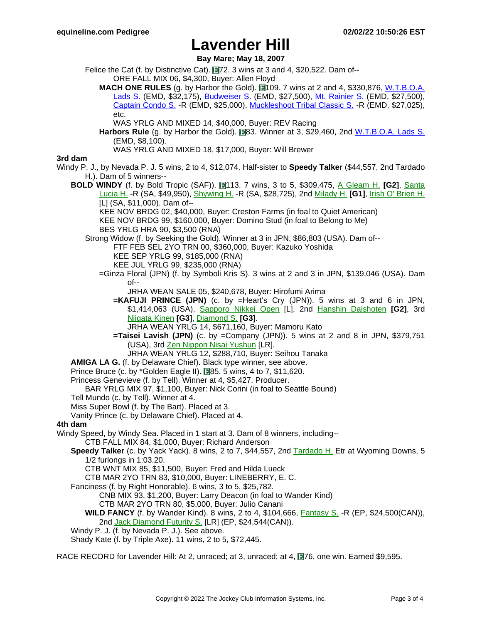**Bay Mare; May 18, 2007**

- Felice the Cat (f. by Distinctive Cat). 172. 3 wins at 3 and 4, \$20,522. Dam of--ORE FALL MIX 06, \$4,300, Buyer: Allen Floyd
	- **MACH ONE RULES** (g. by Harbor the Gold). 109. 7 wins at 2 and 4, \$330,876, [W.T.B.O.A.](https://www.equineline.com/dotVideoChart.cfm?track=EMD&country=USA&race_date=2015-08-15&raceid=mp4:2015/1308/201508152023EMD8_1308.f4v&refno=9513027®istry=T&race_name=W.T.B.O.A.+Lads+S.&race_number=8&day_evening=D&product_reference_number=40PA) [Lads](https://www.equineline.com/dotVideoChart.cfm?track=EMD&country=USA&race_date=2015-08-15&raceid=mp4:2015/1308/201508152023EMD8_1308.f4v&refno=9513027®istry=T&race_name=W.T.B.O.A.+Lads+S.&race_number=8&day_evening=D&product_reference_number=40PA) S. (EMD, \$32,175), [Budweiser](https://www.equineline.com/dotVideoChart.cfm?track=EMD&country=USA&race_date=2017-06-18&raceid=mp4:2017/1308/201706181947EMD7_1308.mp4&refno=9513027®istry=T&race_name=Budweiser+S.&race_number=7&day_evening=D&product_reference_number=40PA) S. (EMD, \$27,500), Mt. [Rainier](https://www.equineline.com/dotVideoChart.cfm?track=EMD&country=USA&race_date=2017-07-16&raceid=mp4:2017/1308/201707162008EMD8_1308.mp4&refno=9513027®istry=T&race_name=Mt.+Rainier+S.&race_number=8&day_evening=D&product_reference_number=40PA) S. (EMD, \$27,500), [Captain](https://www.equineline.com/dotVideoChart.cfm?track=EMD&country=USA&race_date=2015-09-13&raceid=mp4:2015/1308/201509132014EMD8_1308.f4v&refno=9513027®istry=T&race_name=Captain+Condo+S.&race_number=8&day_evening=D&product_reference_number=40PA) Condo S. -R (EMD, \$25,000), [Muckleshoot](https://www.equineline.com/dotVideoChart.cfm?track=EMD&country=USA&race_date=2017-08-27&raceid=mp4:2017/1308/201708272115EMD9_1308.mp4&refno=9513027®istry=T&race_name=Muckleshoot+Tribal+Classic+S.&race_number=9&day_evening=D&product_reference_number=40PA) Tribal Classic S. -R (EMD, \$27,025), etc.
		- WAS YRLG AND MIXED 14, \$40,000, Buyer: REV Racing
	- Harbors Rule (g. by Harbor the Gold). **83.** Winner at 3, \$29,460, 2nd W[.T.B.O.A.](https://www.equineline.com/dotVideoChart.cfm?track=EMD&country=USA&race_date=2019-08-18&raceid=mp4:2019/1308/201908182020EMD8_1308.mp4&refno=10279365®istry=T&race_name=W.T.B.O.A.+Lads+S.&race_number=8&day_evening=D&product_reference_number=40PA) Lads S. (EMD, \$8,100).

WAS YRLG AND MIXED 18, \$17,000, Buyer: Will Brewer

### **3rd dam**

- Windy P. J., by Nevada P. J. 5 wins, 2 to 4, \$12,074. Half-sister to **Speedy Talker** (\$44,557, 2nd Tardado H.). Dam of 5 winners--
	- **BOLD WINDY** (f. by Bold Tropic (SAF)). 113. 7 wins, 3 to 5, \$309,475, A [Gleam](https://www.equineline.com/dotVideoChart.cfm?track=HOL&country=USA&race_date=1993-05-08&refno=1215606®istry=T&race_name=A+Gleam+H.&race_number=8&day_evening=D&product_reference_number=40PA) H. **[G2]**, Sant[a](https://www.equineline.com/dotVideoChart.cfm?track=SA+&country=USA&race_date=1994-03-26&refno=1215606®istry=T&race_name=Santa+Lucia+H.&race_number=8&day_evening=D&product_reference_number=40PA) [Lucia](https://www.equineline.com/dotVideoChart.cfm?track=SA+&country=USA&race_date=1994-03-26&refno=1215606®istry=T&race_name=Santa+Lucia+H.&race_number=8&day_evening=D&product_reference_number=40PA) H. -R (SA, \$49,950), [Shywing](https://www.equineline.com/dotVideoChart.cfm?track=SA+&country=USA&race_date=1993-03-21&refno=1215606®istry=T&race_name=Shywing+H.&race_number=5&day_evening=D&product_reference_number=40PA) H. -R (SA, \$28,725), 2nd [Milady](https://www.equineline.com/dotVideoChart.cfm?track=HOL&country=USA&race_date=1993-06-12&refno=1215606®istry=T&race_name=Milady+H.&race_number=8&day_evening=D&product_reference_number=40PA) H. **[G1]**, Irish O' [Brien](https://www.equineline.com/dotVideoChart.cfm?track=SA+&country=USA&race_date=1993-02-15&refno=1215606®istry=T&race_name=Irish+O) H. [L] (SA, \$11,000). Dam of--
		- KEE NOV BRDG 02, \$40,000, Buyer: Creston Farms (in foal to Quiet American) KEE NOV BRDG 99, \$160,000, Buyer: Domino Stud (in foal to Belong to Me) BES YRLG HRA 90, \$3,500 (RNA)
		- Strong Widow (f. by Seeking the Gold). Winner at 3 in JPN, \$86,803 (USA). Dam of-- FTF FEB SEL 2YO TRN 00, \$360,000, Buyer: Kazuko Yoshida KEE SEP YRLG 99, \$185,000 (RNA)
			- KEE JUL YRLG 99, \$235,000 (RNA)
			- =Ginza Floral (JPN) (f. by Symboli Kris S). 3 wins at 2 and 3 in JPN, \$139,046 (USA). Dam of--
				- JRHA WEAN SALE 05, \$240,678, Buyer: Hirofumi Arima
				- **=KAFUJI PRINCE (JPN)** (c. by =Heart's Cry (JPN)). 5 wins at 3 and 6 in JPN, \$1,414,063 (USA), [Sapporo](https://www.equineline.com/dotVideoChart.cfm?track=SAP&country=JPN&race_date=2019-08-03&refno=9725602®istry=T&race_name=Sapporo+Nikkei+Open&race_number=11&day_evening=D&product_reference_number=40PA) Nikkei Open [L], 2nd Hanshin [Daishoten](https://www.equineline.com/dotVideoChart.cfm?track=HSN&country=JPN&race_date=2019-03-17&refno=9725602®istry=T&race_name=Hanshin+Daishoten&race_number=11&day_evening=D&product_reference_number=40PA) **[G2]**, 3rd [Niigata](https://www.equineline.com/dotVideoChart.cfm?track=NII&country=JPN&race_date=2017-09-03&refno=9725602®istry=T&race_name=Niigata+Kinen&race_number=11&day_evening=D&product_reference_number=40PA) Kinen **[G3]**, [Diamond](https://www.equineline.com/dotVideoChart.cfm?track=TOK&country=JPN&race_date=2017-02-18&refno=9725602®istry=T&race_name=Diamond+S.&race_number=11&day_evening=D&product_reference_number=40PA) S. **[G3]**.
					- JRHA WEAN YRLG 14, \$671,160, Buyer: Mamoru Kato
				- **=Taisei Lavish (JPN)** (c. by =Company (JPN)). 5 wins at 2 and 8 in JPN, \$379,751 (USA), 3rd Zen Nippon Nisai [Yushun](https://www.equineline.com/dotVideoChart.cfm?track=KAW&country=JPN&race_date=2014-12-17&refno=9353261®istry=T&race_name=Zen+Nippon+Nisai+Yushun&race_number=11&day_evening=D&product_reference_number=40PA) [LR].
					- JRHA WEAN YRLG 12, \$288,710, Buyer: Seihou Tanaka
	- **AMIGA LA G.** (f. by Delaware Chief). Black type winner, see above.
	- Prince Bruce (c. by \*Golden Eagle II). 85. 5 wins, 4 to 7, \$11,620.
	- Princess Genevieve (f. by Tell). Winner at 4, \$5,427. Producer.
	- BAR YRLG MIX 97, \$1,100, Buyer: Nick Corini (in foal to Seattle Bound)
	- Tell Mundo (c. by Tell). Winner at 4.
	- Miss Super Bowl (f. by The Bart). Placed at 3.
	- Vanity Prince (c. by Delaware Chief). Placed at 4.

### **4th dam**

- Windy Speed, by Windy Sea. Placed in 1 start at 3. Dam of 8 winners, including--
	- CTB FALL MIX 84, \$1,000, Buyer: Richard Anderson
	- **Speedy Talker** (c. by Yack Yack). 8 wins, 2 to 7, \$44,557, 2nd [Tardado](https://www.equineline.com/dotVideoChart.cfm?track=AC+&country=USA&race_date=1984-02-18&refno=854962®istry=T&race_name=Tardado+H.&race_number=9&day_evening=D&product_reference_number=40PA) H. Etr at Wyoming Downs, 5 1/2 furlongs in 1:03.20.
		- CTB WNT MIX 85, \$11,500, Buyer: Fred and Hilda Lueck
		- CTB MAR 2YO TRN 83, \$10,000, Buyer: LINEBERRY, E. C.
	- Fanciness (f. by Right Honorable). 6 wins, 3 to 5, \$25,782.
		- CNB MIX 93, \$1,200, Buyer: Larry Deacon (in foal to Wander Kind)
		- CTB MAR 2YO TRN 80, \$5,000, Buyer: Julio Canani
		- **WILD FANCY** (f. by Wander Kind). 8 wins, 2 to 4, \$104,666, [Fantasy](https://www.equineline.com/dotVideoChart.cfm?track=EP+&country=CAN&race_date=1987-09-06&refno=1047186®istry=T&race_name=Fantasy+S.&race_number=8&day_evening=D&product_reference_number=40PA) S. -R (EP, \$24,500(CAN)), 2nd Jack [Diamond](https://www.equineline.com/dotVideoChart.cfm?track=EP+&country=CAN&race_date=1987-09-13&refno=1047186®istry=T&race_name=Jack+Diamond+Futurity+S.&race_number=8&day_evening=D&product_reference_number=40PA) Futurity S. [LR] (EP, \$24,544(CAN)).
	- Windy P. J. (f. by Nevada P. J.). See above.
	- Shady Kate (f. by Triple Axe). 11 wins, 2 to 5, \$72,445.

RACE RECORD for Lavender Hill: At 2, unraced; at 3, unraced; at 4, 176, one win. Earned \$9,595.